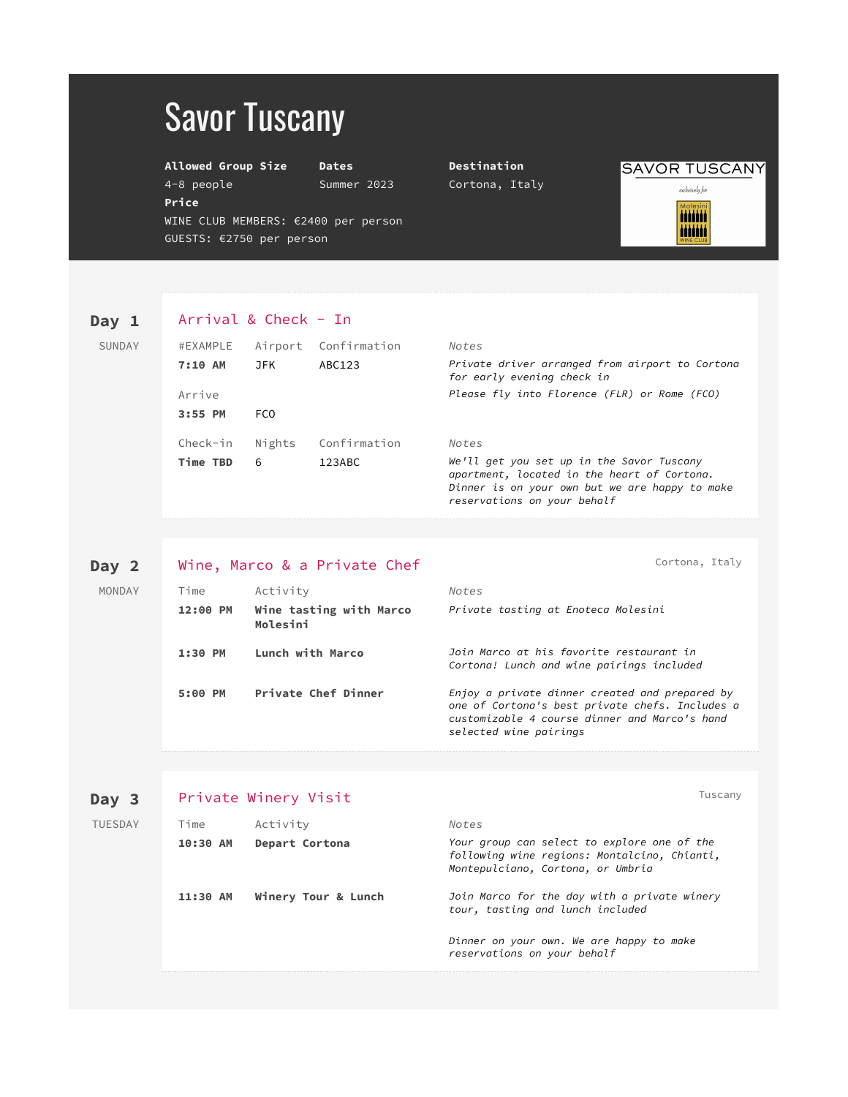# Savor Tuscany

GUESTS: €2750 per person

**Allowed Group Size Dates Destination**

**Price**

WINE CLUB MEMBERS: €2400 per person

4-8 people Summer 2023 Cortona, Italy

**SAVOR TUSCANY** 

 $exclusively for$ **MOLESIN** iiiiiii

### Day 1 Arrival & Check - In

| SUNDAY | #EXAMPLE | Airport | Confirmation | Notes                                                                                                                                                                     |
|--------|----------|---------|--------------|---------------------------------------------------------------------------------------------------------------------------------------------------------------------------|
|        | 7:10 AM  | JFK     | ABC123       | Private driver arranged from airport to Cortona<br>for early evening check in                                                                                             |
|        | Arrive   |         |              | Please fly into Florence (FLR) or Rome (FCO)                                                                                                                              |
|        | 3:55 PM  | FCO     |              |                                                                                                                                                                           |
|        | Check-in | Nights  | Confirmation | Notes                                                                                                                                                                     |
|        | Time TBD | 6       | 123ABC       | We'll get you set up in the Savor Tuscany<br>apartment, located in the heart of Cortona.<br>Dinner is on your own but we are happy to make<br>reservations on your behalf |

| Day 2  |          | Wine, Marco & a Private Chef        | Cortona, Italy                                                                                                                                                               |
|--------|----------|-------------------------------------|------------------------------------------------------------------------------------------------------------------------------------------------------------------------------|
| MONDAY | Time     | Activity                            | Notes                                                                                                                                                                        |
|        | 12:00 PM | Wine tasting with Marco<br>Molesini | Private tasting at Enoteca Molesini                                                                                                                                          |
|        | 1:30 PM  | Lunch with Marco                    | Join Marco at his favorite restaurant in<br>Cortona! Lunch and wine pairings included                                                                                        |
|        | 5:00 PM  | Private Chef Dinner                 | Enjoy a private dinner created and prepared by<br>one of Cortona's best private chefs. Includes a<br>customizable 4 course dinner and Marco's hand<br>selected wine pairings |

| Day 3          | Private Winery Visit |                     |                                                                                                                                  |  |
|----------------|----------------------|---------------------|----------------------------------------------------------------------------------------------------------------------------------|--|
| <b>TUESDAY</b> | Time                 | Activity            | Notes                                                                                                                            |  |
|                | 10:30 AM             | Depart Cortona      | Your group can select to explore one of the<br>following wine regions: Montalcino, Chianti,<br>Montepulciano, Cortona, or Umbria |  |
|                | 11:30 AM             | Winery Tour & Lunch | Join Marco for the day with a private winery<br>tour, tasting and lunch included                                                 |  |
|                |                      |                     | Dinner on your own. We are happy to make<br>reservations on your behalf                                                          |  |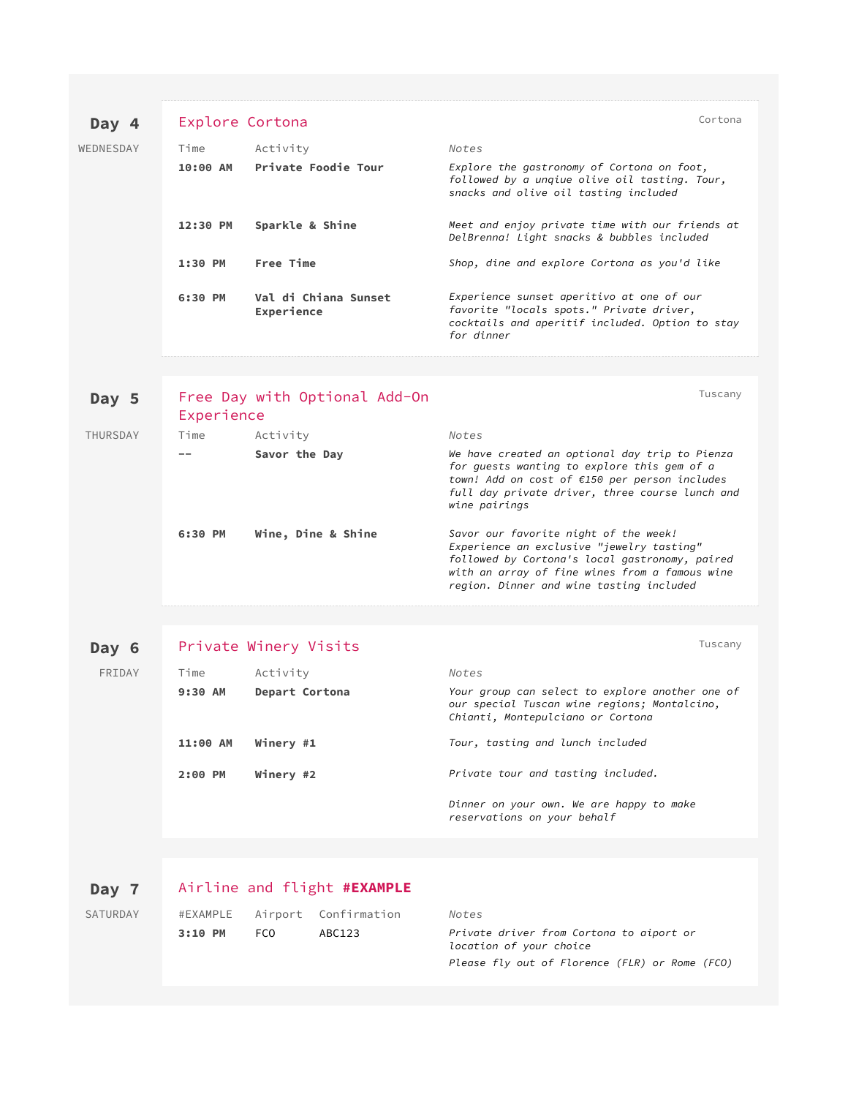### Day 4 Explore Cortona **Cortona** Cortona Cortona

| WEDNESDAY | Time     | Activity                           | Notes                                                                                                                                                  |
|-----------|----------|------------------------------------|--------------------------------------------------------------------------------------------------------------------------------------------------------|
|           |          | 10:00 AM Private Foodie Tour       | Explore the gastronomy of Cortona on foot,<br>followed by a ungiue olive oil tasting. Tour,<br>snacks and olive oil tasting included                   |
|           | 12:30 PM | Sparkle & Shine                    | Meet and enjoy private time with our friends at<br>DelBrenna! Light snacks & bubbles included                                                          |
|           | 1:30 PM  | <b>Free Time</b>                   | Shop, dine and explore Cortona as you'd like                                                                                                           |
|           | 6:30 PM  | Val di Chiana Sunset<br>Experience | Experience sunset aperitivo at one of our<br>favorite "locals spots." Private driver,<br>cocktails and aperitif included. Option to stay<br>for dinner |

| Day 5    | Experience | Free Day with Optional Add-On | Tuscany                                                                                                                                                                                                                            |
|----------|------------|-------------------------------|------------------------------------------------------------------------------------------------------------------------------------------------------------------------------------------------------------------------------------|
| THURSDAY | Time       | Activity                      | Notes                                                                                                                                                                                                                              |
|          |            | Savor the Day                 | We have created an optional day trip to Pienza<br>for quests wanting to explore this gem of a<br>town! Add on cost of $£150$ per person includes<br>full day private driver, three course lunch and<br>wine pairings               |
|          | 6:30 PM    | Wine, Dine & Shine            | Savor our favorite night of the week!<br>Experience an exclusive "jewelry tasting"<br>followed by Cortona's local gastronomy, paired<br>with an array of fine wines from a famous wine<br>region. Dinner and wine tasting included |

## Day 6 Private Winery Visits **Day 6** Tuscany

| FRIDAY | Time      | Activity       | Notes                                                                                                                                |
|--------|-----------|----------------|--------------------------------------------------------------------------------------------------------------------------------------|
|        | $9:30$ AM | Depart Cortona | Your group can select to explore another one of<br>our special Tuscan wine regions; Montalcino,<br>Chianti, Montepulciano or Cortona |
|        | 11:00 AM  | Winery #1      | Tour, tasting and lunch included                                                                                                     |
|        | 2:00 PM   | Winery #2      | Private tour and tasting included.                                                                                                   |
|        |           |                | Dinner on your own. We are happy to make<br>reservations on your behalf                                                              |

### **Day 7** Airline and flight **#EXAMPLE**

| SATURDAY |         |       | #EXAMPLE Airport Confirmation | Notes                                                               |
|----------|---------|-------|-------------------------------|---------------------------------------------------------------------|
|          | 3:10 PM | - FCO | ABC123                        | Private driver from Cortona to aiport or<br>location of your choice |

*location of your choice Please fly out of Florence (FLR) or Rome (FCO)*